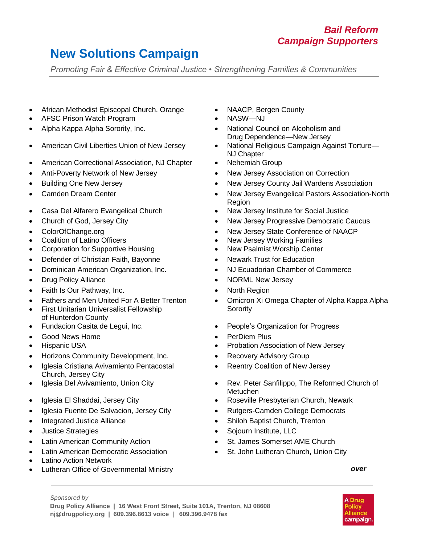## **New Solutions Campaign**

*Promoting Fair & Effective Criminal Justice • Strengthening Families & Communities*

- African Methodist Episcopal Church, Orange NAACP, Bergen County
- AFSC Prison Watch Program **Canadian Control Control Control of CAS** NASW—NJ
- 
- 
- American Correctional Association, NJ Chapter Nehemiah Group
- 
- 
- 
- Casa Del Alfarero Evangelical Church New Jersey Institute for Social Justice
- 
- ColorOfChange.org
- Coalition of Latino Officers
- Corporation for Supportive Housing **Canadian Center New Psalmist Worship Center**
- Defender of Christian Faith, Bayonne Newark Trust for Education
- 
- 
- Faith Is Our Pathway, Inc. **No. 1998 CONTER CONTER CONTER CONTER CONTER CONTER CONTER CONTER CONTER**
- Fathers and Men United For A Better Trenton
- **•** First Unitarian Universalist Fellowship of Hunterdon County
- 
- Good News Home **PerDiem Plus**
- 
- Horizons Community Development, Inc. Recovery Advisory Group
- Iglesia Cristiana Avivamiento Pentacostal Church, Jersey City
- 
- 
- Iglesia Fuente De Salvacion, Jersey City **· · · · · · · · Rutgers-Camden College Democrats**
- 
- 
- Latin American Community Action **St. James Somerset AME Church**
- **•** Latin American Democratic Association
- Latino Action Network
- Lutheran Office of Governmental Ministry *over*
- 
- 
- Alpha Kappa Alpha Sorority, Inc. **National Council on Alcoholism and National Council on Alcoholism and** Drug Dependence—New Jersey
- American Civil Liberties Union of New Jersey National Religious Campaign Against Torture— NJ Chapter
	-
- Anti-Poverty Network of New Jersey **New Jersey Association on Correction**
- Building One New Jersey **New Jersey County Jail Wardens Association** 
	- Camden Dream Center **New Jersey Evangelical Pastors Association-North** Region
		-
- Church of God, Jersey City **New Jersey Progressive Democratic Caucus** 
	- New Jersey State Conference of NAACP
	- New Jersey Working Families
	-
	-
- Dominican American Organization, Inc. NJ Ecuadorian Chamber of Commerce
- Drug Policy Alliance **No. 1998 1998 1999 1999 1999 1999 1999 1999 1999 1999 1999 1999 1999 1999 1999 1999 1999 1999 1999 1999 1999 1999 1999 1999 1999 1999 1999 1999** 
	-
	- Omicron Xi Omega Chapter of Alpha Kappa Alpha **Sorority**
	- Fundacion Casita de Legui, Inc. People's Organization for Progress
		-
- Hispanic USA **Probation Association of New Jersey Probation Association of New Jersey** 
	-
	- Reentry Coalition of New Jersey
- Iglesia Del Avivamiento, Union City **Channel Avivator Church of Rev. Peter Sanfilippo, The Reformed Church of** Metuchen
	- Iglesia El Shaddai, Jersey City Roseville Presbyterian Church, Newark
		-
- Integrated Justice Alliance **Shiloh Baptist Church, Trenton Shiloh Baptist Church**, Trenton
- Justice Strategies **Solution Contract Contract Contract Contract Contract Contract Contract Contract Contract Contract Contract Contract Contract Contract Contract Contract Contract Contract Contract Contract Contract Co** 
	-
	- St. John Lutheran Church, Union City